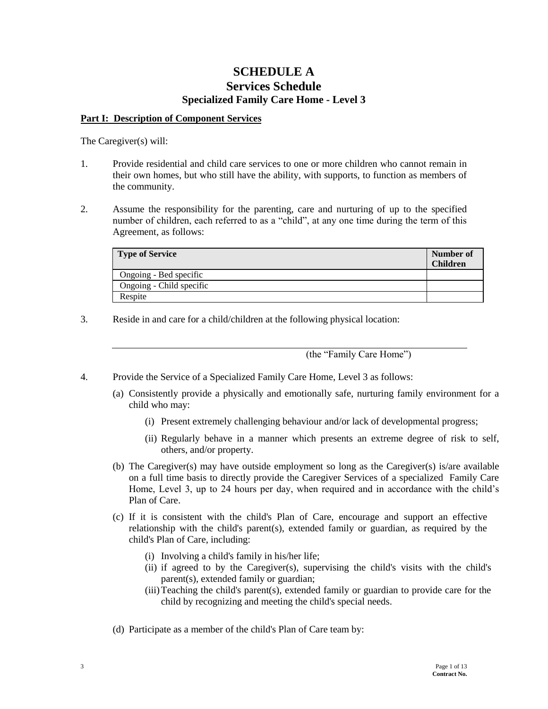## **SCHEDULE A Services Schedule Specialized Family Care Home - Level 3**

#### **Part I: Description of Component Services**

The Caregiver(s) will:

- 1. Provide residential and child care services to one or more children who cannot remain in their own homes, but who still have the ability, with supports, to function as members of the community.
- 2. Assume the responsibility for the parenting, care and nurturing of up to the specified number of children, each referred to as a "child", at any one time during the term of this Agreement, as follows:

| <b>Type of Service</b>   | Number of<br><b>Children</b> |
|--------------------------|------------------------------|
| Ongoing - Bed specific   |                              |
| Ongoing - Child specific |                              |
| Respite                  |                              |

3. Reside in and care for a child/children at the following physical location:

(the "Family Care Home")

- 4. Provide the Service of a Specialized Family Care Home, Level 3 as follows:
	- (a) Consistently provide a physically and emotionally safe, nurturing family environment for a child who may:
		- (i) Present extremely challenging behaviour and/or lack of developmental progress;
		- (ii) Regularly behave in a manner which presents an extreme degree of risk to self, others, and/or property.
	- (b) The Caregiver(s) may have outside employment so long as the Caregiver(s) is/are available on a full time basis to directly provide the Caregiver Services of a specialized Family Care Home, Level 3, up to 24 hours per day, when required and in accordance with the child's Plan of Care.
	- (c) If it is consistent with the child's Plan of Care, encourage and support an effective relationship with the child's parent(s), extended family or guardian, as required by the child's Plan of Care, including:
		- (i) Involving a child's family in his/her life;
		- (ii) if agreed to by the Caregiver(s), supervising the child's visits with the child's parent(s), extended family or guardian;
		- (iii)Teaching the child's parent(s), extended family or guardian to provide care for the child by recognizing and meeting the child's special needs.
	- (d) Participate as a member of the child's Plan of Care team by: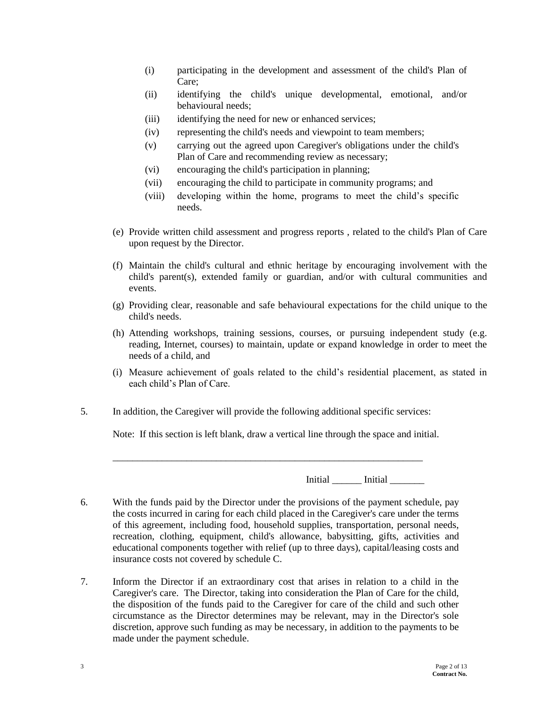- (i) participating in the development and assessment of the child's Plan of Care;
- (ii) identifying the child's unique developmental, emotional, and/or behavioural needs;
- (iii) identifying the need for new or enhanced services;
- (iv) representing the child's needs and viewpoint to team members;
- (v) carrying out the agreed upon Caregiver's obligations under the child's Plan of Care and recommending review as necessary;
- (vi) encouraging the child's participation in planning;
- (vii) encouraging the child to participate in community programs; and
- (viii) developing within the home, programs to meet the child's specific needs.
- (e) Provide written child assessment and progress reports , related to the child's Plan of Care upon request by the Director.
- (f) Maintain the child's cultural and ethnic heritage by encouraging involvement with the child's parent(s), extended family or guardian, and/or with cultural communities and events.
- (g) Providing clear, reasonable and safe behavioural expectations for the child unique to the child's needs.
- (h) Attending workshops, training sessions, courses, or pursuing independent study (e.g. reading, Internet, courses) to maintain, update or expand knowledge in order to meet the needs of a child, and
- (i) Measure achievement of goals related to the child's residential placement, as stated in each child's Plan of Care.
- 5. In addition, the Caregiver will provide the following additional specific services:

Note: If this section is left blank, draw a vertical line through the space and initial.

\_\_\_\_\_\_\_\_\_\_\_\_\_\_\_\_\_\_\_\_\_\_\_\_\_\_\_\_\_\_\_\_\_\_\_\_\_\_\_\_\_\_\_\_\_\_\_\_\_\_\_\_\_\_\_\_\_\_\_\_\_\_\_

Initial **Initial** 

- 6. With the funds paid by the Director under the provisions of the payment schedule, pay the costs incurred in caring for each child placed in the Caregiver's care under the terms of this agreement, including food, household supplies, transportation, personal needs, recreation, clothing, equipment, child's allowance, babysitting, gifts, activities and educational components together with relief (up to three days), capital/leasing costs and insurance costs not covered by schedule C.
- 7. Inform the Director if an extraordinary cost that arises in relation to a child in the Caregiver's care. The Director, taking into consideration the Plan of Care for the child, the disposition of the funds paid to the Caregiver for care of the child and such other circumstance as the Director determines may be relevant, may in the Director's sole discretion, approve such funding as may be necessary, in addition to the payments to be made under the payment schedule.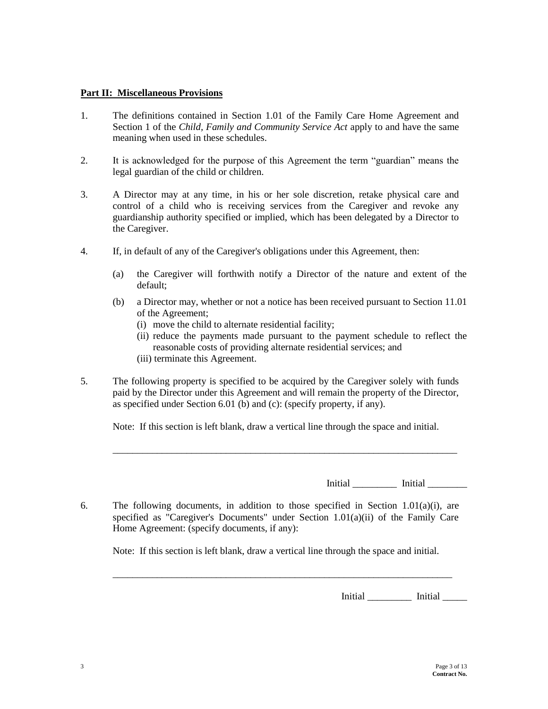#### **Part II: Miscellaneous Provisions**

- 1. The definitions contained in Section 1.01 of the Family Care Home Agreement and Section 1 of the *Child, Family and Community Service Act* apply to and have the same meaning when used in these schedules.
- 2. It is acknowledged for the purpose of this Agreement the term "guardian" means the legal guardian of the child or children.
- 3. A Director may at any time, in his or her sole discretion, retake physical care and control of a child who is receiving services from the Caregiver and revoke any guardianship authority specified or implied, which has been delegated by a Director to the Caregiver.
- 4. If, in default of any of the Caregiver's obligations under this Agreement, then:
	- (a) the Caregiver will forthwith notify a Director of the nature and extent of the default;
	- (b) a Director may, whether or not a notice has been received pursuant to Section 11.01 of the Agreement;
		- (i) move the child to alternate residential facility;
		- (ii) reduce the payments made pursuant to the payment schedule to reflect the reasonable costs of providing alternate residential services; and (iii) terminate this Agreement.
- 5. The following property is specified to be acquired by the Caregiver solely with funds paid by the Director under this Agreement and will remain the property of the Director, as specified under Section 6.01 (b) and (c): (specify property, if any).

Note: If this section is left blank, draw a vertical line through the space and initial.

\_\_\_\_\_\_\_\_\_\_\_\_\_\_\_\_\_\_\_\_\_\_\_\_\_\_\_\_\_\_\_\_\_\_\_\_\_\_\_\_\_\_\_\_\_\_\_\_\_\_\_\_\_\_\_\_\_\_\_\_\_\_\_\_\_\_\_\_\_\_

Initial \_\_\_\_\_\_\_\_\_\_\_\_ Initial \_\_\_\_\_\_\_\_\_

6. The following documents, in addition to those specified in Section 1.01(a)(i), are specified as "Caregiver's Documents" under Section 1.01(a)(ii) of the Family Care Home Agreement: (specify documents, if any):

Note: If this section is left blank, draw a vertical line through the space and initial.

\_\_\_\_\_\_\_\_\_\_\_\_\_\_\_\_\_\_\_\_\_\_\_\_\_\_\_\_\_\_\_\_\_\_\_\_\_\_\_\_\_\_\_\_\_\_\_\_\_\_\_\_\_\_\_\_\_\_\_\_\_\_\_\_\_\_\_\_\_

Initial \_\_\_\_\_\_\_\_\_ Initial \_\_\_\_\_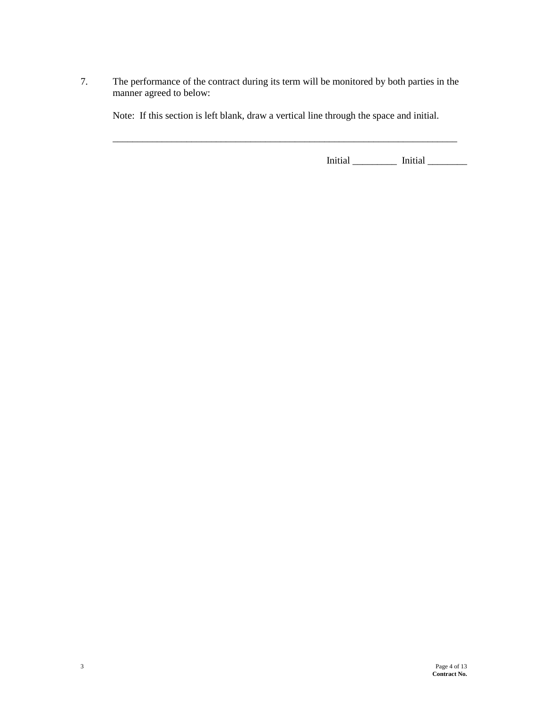7. The performance of the contract during its term will be monitored by both parties in the manner agreed to below:

Note: If this section is left blank, draw a vertical line through the space and initial.

\_\_\_\_\_\_\_\_\_\_\_\_\_\_\_\_\_\_\_\_\_\_\_\_\_\_\_\_\_\_\_\_\_\_\_\_\_\_\_\_\_\_\_\_\_\_\_\_\_\_\_\_\_\_\_\_\_\_\_\_\_\_\_\_\_\_\_\_\_\_

Initial \_\_\_\_\_\_\_\_\_ Initial \_\_\_\_\_\_\_\_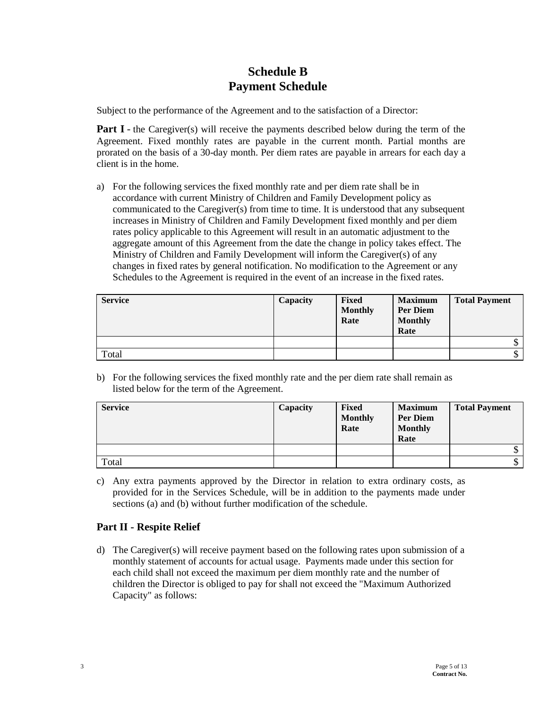# **Schedule B Payment Schedule**

Subject to the performance of the Agreement and to the satisfaction of a Director:

**Part I** - the Caregiver(s) will receive the payments described below during the term of the Agreement. Fixed monthly rates are payable in the current month. Partial months are prorated on the basis of a 30-day month. Per diem rates are payable in arrears for each day a client is in the home.

a) For the following services the fixed monthly rate and per diem rate shall be in accordance with current Ministry of Children and Family Development policy as communicated to the Caregiver(s) from time to time. It is understood that any subsequent increases in Ministry of Children and Family Development fixed monthly and per diem rates policy applicable to this Agreement will result in an automatic adjustment to the aggregate amount of this Agreement from the date the change in policy takes effect. The Ministry of Children and Family Development will inform the Caregiver(s) of any changes in fixed rates by general notification. No modification to the Agreement or any Schedules to the Agreement is required in the event of an increase in the fixed rates.

| <b>Service</b> | Capacity | Fixed<br><b>Monthly</b><br>Rate | <b>Maximum</b><br><b>Per Diem</b><br><b>Monthly</b><br>Rate | <b>Total Payment</b> |
|----------------|----------|---------------------------------|-------------------------------------------------------------|----------------------|
|                |          |                                 |                                                             | κD                   |
| Total          |          |                                 |                                                             | D                    |

b) For the following services the fixed monthly rate and the per diem rate shall remain as listed below for the term of the Agreement.

| <b>Service</b> | Capacity | <b>Fixed</b><br><b>Monthly</b><br>Rate | <b>Maximum</b><br><b>Per Diem</b><br><b>Monthly</b><br>Rate | <b>Total Payment</b> |
|----------------|----------|----------------------------------------|-------------------------------------------------------------|----------------------|
|                |          |                                        |                                                             | $\mathcal{S}$        |
| Total          |          |                                        |                                                             | \$                   |

c) Any extra payments approved by the Director in relation to extra ordinary costs, as provided for in the Services Schedule, will be in addition to the payments made under sections (a) and (b) without further modification of the schedule.

### **Part II - Respite Relief**

d) The Caregiver(s) will receive payment based on the following rates upon submission of a monthly statement of accounts for actual usage. Payments made under this section for each child shall not exceed the maximum per diem monthly rate and the number of children the Director is obliged to pay for shall not exceed the "Maximum Authorized Capacity" as follows: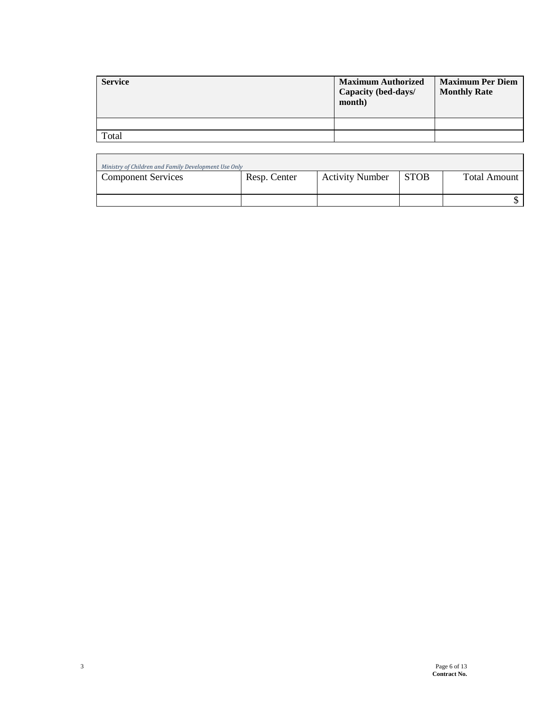| <b>Service</b> | <b>Maximum Authorized</b><br>Capacity (bed-days/<br>month) | <b>Maximum Per Diem</b><br><b>Monthly Rate</b> |
|----------------|------------------------------------------------------------|------------------------------------------------|
|                |                                                            |                                                |
| Total          |                                                            |                                                |

| Ministry of Children and Family Development Use Only |              |                        |             |              |
|------------------------------------------------------|--------------|------------------------|-------------|--------------|
| <b>Component Services</b>                            | Resp. Center | <b>Activity Number</b> | <b>STOB</b> | Total Amount |
|                                                      |              |                        |             |              |
|                                                      |              |                        |             |              |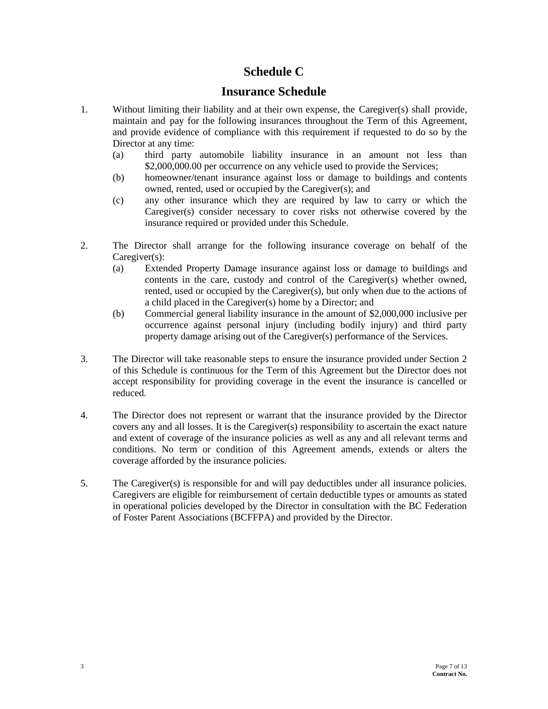# **Schedule C**

## **Insurance Schedule**

- 1. Without limiting their liability and at their own expense, the Caregiver(s) shall provide, maintain and pay for the following insurances throughout the Term of this Agreement, and provide evidence of compliance with this requirement if requested to do so by the Director at any time:
	- (a) third party automobile liability insurance in an amount not less than \$2,000,000.00 per occurrence on any vehicle used to provide the Services;
	- (b) homeowner/tenant insurance against loss or damage to buildings and contents owned, rented, used or occupied by the Caregiver(s); and
	- (c) any other insurance which they are required by law to carry or which the Caregiver(s) consider necessary to cover risks not otherwise covered by the insurance required or provided under this Schedule.
- 2. The Director shall arrange for the following insurance coverage on behalf of the Caregiver(s):
	- (a) Extended Property Damage insurance against loss or damage to buildings and contents in the care, custody and control of the Caregiver(s) whether owned, rented, used or occupied by the Caregiver(s), but only when due to the actions of a child placed in the Caregiver(s) home by a Director; and
	- (b) Commercial general liability insurance in the amount of \$2,000,000 inclusive per occurrence against personal injury (including bodily injury) and third party property damage arising out of the Caregiver(s) performance of the Services.
- 3. The Director will take reasonable steps to ensure the insurance provided under Section 2 of this Schedule is continuous for the Term of this Agreement but the Director does not accept responsibility for providing coverage in the event the insurance is cancelled or reduced.
- 4. The Director does not represent or warrant that the insurance provided by the Director covers any and all losses. It is the Caregiver(s) responsibility to ascertain the exact nature and extent of coverage of the insurance policies as well as any and all relevant terms and conditions. No term or condition of this Agreement amends, extends or alters the coverage afforded by the insurance policies.
- 5. The Caregiver(s) is responsible for and will pay deductibles under all insurance policies. Caregivers are eligible for reimbursement of certain deductible types or amounts as stated in operational policies developed by the Director in consultation with the BC Federation of Foster Parent Associations (BCFFPA) and provided by the Director.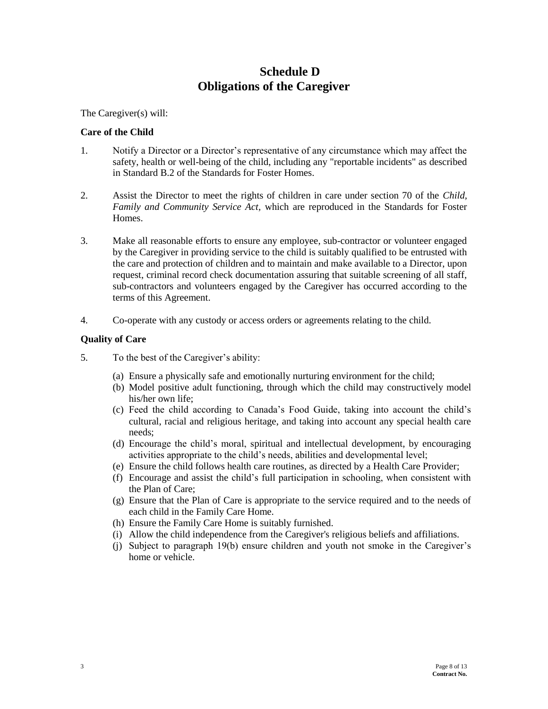# **Schedule D Obligations of the Caregiver**

The Caregiver(s) will:

#### **Care of the Child**

- 1. Notify a Director or a Director's representative of any circumstance which may affect the safety, health or well-being of the child, including any "reportable incidents" as described in Standard B.2 of the Standards for Foster Homes.
- 2. Assist the Director to meet the rights of children in care under section 70 of the *Child, Family and Community Service Act,* which are reproduced in the Standards for Foster Homes.
- 3. Make all reasonable efforts to ensure any employee, sub-contractor or volunteer engaged by the Caregiver in providing service to the child is suitably qualified to be entrusted with the care and protection of children and to maintain and make available to a Director, upon request, criminal record check documentation assuring that suitable screening of all staff, sub-contractors and volunteers engaged by the Caregiver has occurred according to the terms of this Agreement.
- 4. Co-operate with any custody or access orders or agreements relating to the child.

#### **Quality of Care**

- 5. To the best of the Caregiver's ability:
	- (a) Ensure a physically safe and emotionally nurturing environment for the child;
	- (b) Model positive adult functioning, through which the child may constructively model his/her own life;
	- (c) Feed the child according to Canada's Food Guide, taking into account the child's cultural, racial and religious heritage, and taking into account any special health care needs;
	- (d) Encourage the child's moral, spiritual and intellectual development, by encouraging activities appropriate to the child's needs, abilities and developmental level;
	- (e) Ensure the child follows health care routines, as directed by a Health Care Provider;
	- (f) Encourage and assist the child's full participation in schooling, when consistent with the Plan of Care;
	- (g) Ensure that the Plan of Care is appropriate to the service required and to the needs of each child in the Family Care Home.
	- (h) Ensure the Family Care Home is suitably furnished.
	- (i) Allow the child independence from the Caregiver's religious beliefs and affiliations.
	- (j) Subject to paragraph 19(b) ensure children and youth not smoke in the Caregiver's home or vehicle.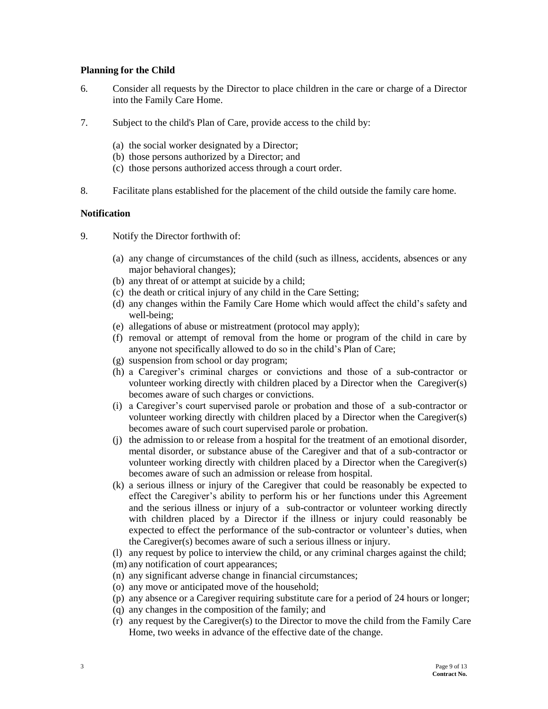#### **Planning for the Child**

- 6. Consider all requests by the Director to place children in the care or charge of a Director into the Family Care Home.
- 7. Subject to the child's Plan of Care, provide access to the child by:
	- (a) the social worker designated by a Director;
	- (b) those persons authorized by a Director; and
	- (c) those persons authorized access through a court order.
- 8. Facilitate plans established for the placement of the child outside the family care home.

#### **Notification**

- 9. Notify the Director forthwith of:
	- (a) any change of circumstances of the child (such as illness, accidents, absences or any major behavioral changes);
	- (b) any threat of or attempt at suicide by a child;
	- (c) the death or critical injury of any child in the Care Setting;
	- (d) any changes within the Family Care Home which would affect the child's safety and well-being;
	- (e) allegations of abuse or mistreatment (protocol may apply);
	- (f) removal or attempt of removal from the home or program of the child in care by anyone not specifically allowed to do so in the child's Plan of Care;
	- (g) suspension from school or day program;
	- (h) a Caregiver's criminal charges or convictions and those of a sub-contractor or volunteer working directly with children placed by a Director when the Caregiver(s) becomes aware of such charges or convictions.
	- (i) a Caregiver's court supervised parole or probation and those of a sub-contractor or volunteer working directly with children placed by a Director when the Caregiver(s) becomes aware of such court supervised parole or probation.
	- (j) the admission to or release from a hospital for the treatment of an emotional disorder, mental disorder, or substance abuse of the Caregiver and that of a sub-contractor or volunteer working directly with children placed by a Director when the Caregiver(s) becomes aware of such an admission or release from hospital.
	- (k) a serious illness or injury of the Caregiver that could be reasonably be expected to effect the Caregiver's ability to perform his or her functions under this Agreement and the serious illness or injury of a sub-contractor or volunteer working directly with children placed by a Director if the illness or injury could reasonably be expected to effect the performance of the sub-contractor or volunteer's duties, when the Caregiver(s) becomes aware of such a serious illness or injury.
	- (l) any request by police to interview the child, or any criminal charges against the child;
	- (m) any notification of court appearances;
	- (n) any significant adverse change in financial circumstances;
	- (o) any move or anticipated move of the household;
	- (p) any absence or a Caregiver requiring substitute care for a period of 24 hours or longer;
	- (q) any changes in the composition of the family; and
	- (r) any request by the Caregiver(s) to the Director to move the child from the Family Care Home, two weeks in advance of the effective date of the change.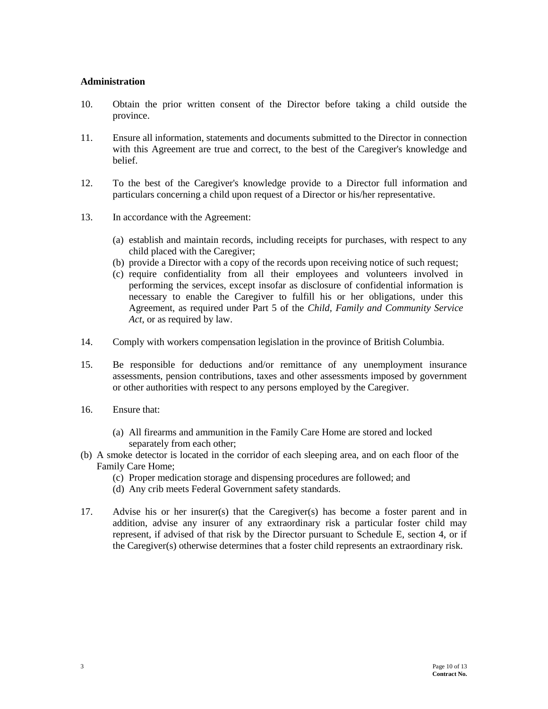#### **Administration**

- 10. Obtain the prior written consent of the Director before taking a child outside the province.
- 11. Ensure all information, statements and documents submitted to the Director in connection with this Agreement are true and correct, to the best of the Caregiver's knowledge and belief.
- 12. To the best of the Caregiver's knowledge provide to a Director full information and particulars concerning a child upon request of a Director or his/her representative.
- 13. In accordance with the Agreement:
	- (a) establish and maintain records, including receipts for purchases, with respect to any child placed with the Caregiver;
	- (b) provide a Director with a copy of the records upon receiving notice of such request;
	- (c) require confidentiality from all their employees and volunteers involved in performing the services, except insofar as disclosure of confidential information is necessary to enable the Caregiver to fulfill his or her obligations, under this Agreement, as required under Part 5 of the *Child, Family and Community Service Act*, or as required by law.
- 14. Comply with workers compensation legislation in the province of British Columbia.
- 15. Be responsible for deductions and/or remittance of any unemployment insurance assessments, pension contributions, taxes and other assessments imposed by government or other authorities with respect to any persons employed by the Caregiver.
- 16. Ensure that:
	- (a) All firearms and ammunition in the Family Care Home are stored and locked separately from each other;
- (b) A smoke detector is located in the corridor of each sleeping area, and on each floor of the Family Care Home;
	- (c) Proper medication storage and dispensing procedures are followed; and
	- (d) Any crib meets Federal Government safety standards.
- 17. Advise his or her insurer(s) that the Caregiver(s) has become a foster parent and in addition, advise any insurer of any extraordinary risk a particular foster child may represent, if advised of that risk by the Director pursuant to Schedule E, section 4, or if the Caregiver(s) otherwise determines that a foster child represents an extraordinary risk.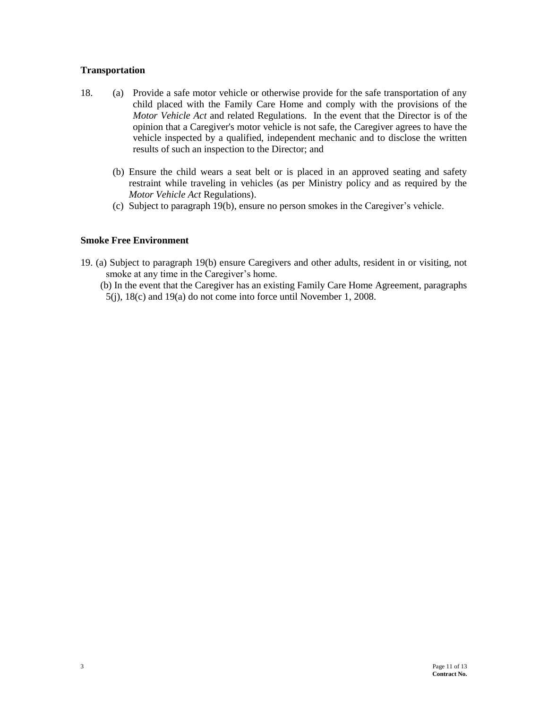#### **Transportation**

- 18. (a) Provide a safe motor vehicle or otherwise provide for the safe transportation of any child placed with the Family Care Home and comply with the provisions of the *Motor Vehicle Act* and related Regulations. In the event that the Director is of the opinion that a Caregiver's motor vehicle is not safe, the Caregiver agrees to have the vehicle inspected by a qualified, independent mechanic and to disclose the written results of such an inspection to the Director; and
	- (b) Ensure the child wears a seat belt or is placed in an approved seating and safety restraint while traveling in vehicles (as per Ministry policy and as required by the *Motor Vehicle Act* Regulations).
	- (c) Subject to paragraph 19(b)*,* ensure no person smokes in the Caregiver's vehicle.

### **Smoke Free Environment**

- 19. (a) Subject to paragraph 19(b) ensure Caregivers and other adults, resident in or visiting, not smoke at any time in the Caregiver's home.
	- (b) In the event that the Caregiver has an existing Family Care Home Agreement, paragraphs 5(j), 18(c) and 19(a) do not come into force until November 1, 2008.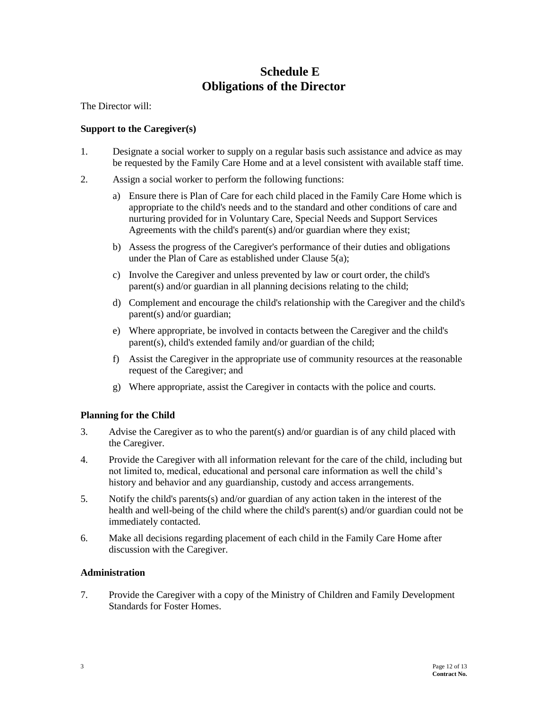# **Schedule E Obligations of the Director**

The Director will:

### **Support to the Caregiver(s)**

- 1. Designate a social worker to supply on a regular basis such assistance and advice as may be requested by the Family Care Home and at a level consistent with available staff time.
- 2. Assign a social worker to perform the following functions:
	- a) Ensure there is Plan of Care for each child placed in the Family Care Home which is appropriate to the child's needs and to the standard and other conditions of care and nurturing provided for in Voluntary Care, Special Needs and Support Services Agreements with the child's parent(s) and/or guardian where they exist;
	- b) Assess the progress of the Caregiver's performance of their duties and obligations under the Plan of Care as established under Clause 5(a);
	- c) Involve the Caregiver and unless prevented by law or court order, the child's parent(s) and/or guardian in all planning decisions relating to the child;
	- d) Complement and encourage the child's relationship with the Caregiver and the child's parent(s) and/or guardian;
	- e) Where appropriate, be involved in contacts between the Caregiver and the child's parent(s), child's extended family and/or guardian of the child;
	- f) Assist the Caregiver in the appropriate use of community resources at the reasonable request of the Caregiver; and
	- g) Where appropriate, assist the Caregiver in contacts with the police and courts.

### **Planning for the Child**

- 3. Advise the Caregiver as to who the parent(s) and/or guardian is of any child placed with the Caregiver.
- 4. Provide the Caregiver with all information relevant for the care of the child, including but not limited to, medical, educational and personal care information as well the child's history and behavior and any guardianship, custody and access arrangements.
- 5. Notify the child's parents(s) and/or guardian of any action taken in the interest of the health and well-being of the child where the child's parent(s) and/or guardian could not be immediately contacted.
- 6. Make all decisions regarding placement of each child in the Family Care Home after discussion with the Caregiver.

#### **Administration**

7. Provide the Caregiver with a copy of the Ministry of Children and Family Development Standards for Foster Homes.